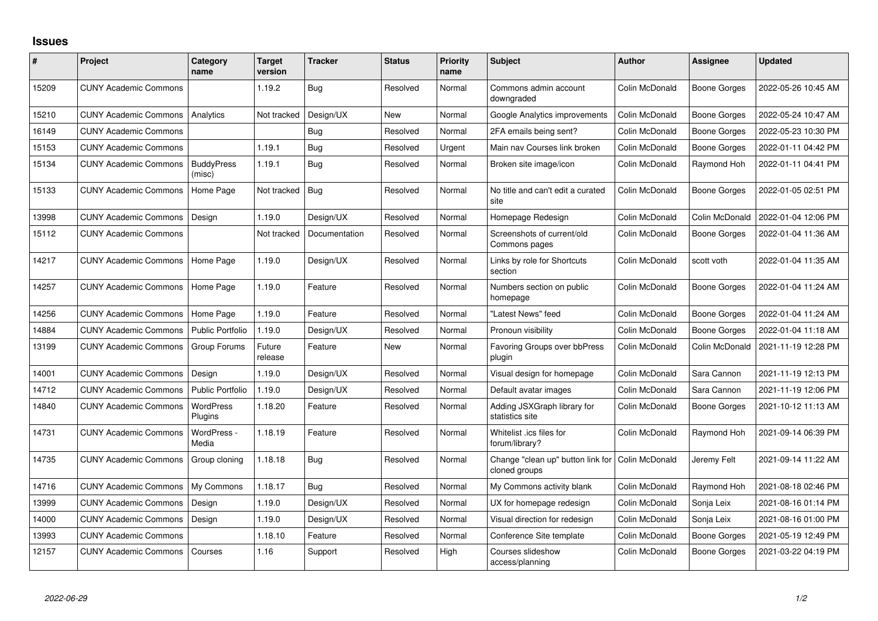## **Issues**

| #     | Project                      | Category<br>name            | <b>Target</b><br>version | <b>Tracker</b> | <b>Status</b> | Priority<br>name | <b>Subject</b>                                     | <b>Author</b>  | Assignee            | <b>Updated</b>      |
|-------|------------------------------|-----------------------------|--------------------------|----------------|---------------|------------------|----------------------------------------------------|----------------|---------------------|---------------------|
| 15209 | <b>CUNY Academic Commons</b> |                             | 1.19.2                   | Bug            | Resolved      | Normal           | Commons admin account<br>downgraded                | Colin McDonald | Boone Gorges        | 2022-05-26 10:45 AM |
| 15210 | <b>CUNY Academic Commons</b> | Analytics                   | Not tracked              | Design/UX      | <b>New</b>    | Normal           | Google Analytics improvements                      | Colin McDonald | <b>Boone Gorges</b> | 2022-05-24 10:47 AM |
| 16149 | <b>CUNY Academic Commons</b> |                             |                          | Bug            | Resolved      | Normal           | 2FA emails being sent?                             | Colin McDonald | <b>Boone Gorges</b> | 2022-05-23 10:30 PM |
| 15153 | <b>CUNY Academic Commons</b> |                             | 1.19.1                   | Bug            | Resolved      | Urgent           | Main nav Courses link broken                       | Colin McDonald | <b>Boone Gorges</b> | 2022-01-11 04:42 PM |
| 15134 | <b>CUNY Academic Commons</b> | <b>BuddyPress</b><br>(misc) | 1.19.1                   | Bug            | Resolved      | Normal           | Broken site image/icon                             | Colin McDonald | Raymond Hoh         | 2022-01-11 04:41 PM |
| 15133 | <b>CUNY Academic Commons</b> | Home Page                   | Not tracked              | Bug            | Resolved      | Normal           | No title and can't edit a curated<br>site          | Colin McDonald | <b>Boone Gorges</b> | 2022-01-05 02:51 PM |
| 13998 | <b>CUNY Academic Commons</b> | Design                      | 1.19.0                   | Design/UX      | Resolved      | Normal           | Homepage Redesign                                  | Colin McDonald | Colin McDonald      | 2022-01-04 12:06 PM |
| 15112 | <b>CUNY Academic Commons</b> |                             | Not tracked              | Documentation  | Resolved      | Normal           | Screenshots of current/old<br>Commons pages        | Colin McDonald | <b>Boone Gorges</b> | 2022-01-04 11:36 AM |
| 14217 | <b>CUNY Academic Commons</b> | Home Page                   | 1.19.0                   | Design/UX      | Resolved      | Normal           | Links by role for Shortcuts<br>section             | Colin McDonald | scott voth          | 2022-01-04 11:35 AM |
| 14257 | <b>CUNY Academic Commons</b> | Home Page                   | 1.19.0                   | Feature        | Resolved      | Normal           | Numbers section on public<br>homepage              | Colin McDonald | Boone Gorges        | 2022-01-04 11:24 AM |
| 14256 | <b>CUNY Academic Commons</b> | Home Page                   | 1.19.0                   | Feature        | Resolved      | Normal           | "Latest News" feed                                 | Colin McDonald | Boone Gorges        | 2022-01-04 11:24 AM |
| 14884 | <b>CUNY Academic Commons</b> | <b>Public Portfolio</b>     | 1.19.0                   | Design/UX      | Resolved      | Normal           | Pronoun visibility                                 | Colin McDonald | <b>Boone Gorges</b> | 2022-01-04 11:18 AM |
| 13199 | <b>CUNY Academic Commons</b> | Group Forums                | Future<br>release        | Feature        | <b>New</b>    | Normal           | <b>Favoring Groups over bbPress</b><br>plugin      | Colin McDonald | Colin McDonald      | 2021-11-19 12:28 PM |
| 14001 | <b>CUNY Academic Commons</b> | Design                      | 1.19.0                   | Design/UX      | Resolved      | Normal           | Visual design for homepage                         | Colin McDonald | Sara Cannon         | 2021-11-19 12:13 PM |
| 14712 | <b>CUNY Academic Commons</b> | <b>Public Portfolio</b>     | 1.19.0                   | Design/UX      | Resolved      | Normal           | Default avatar images                              | Colin McDonald | Sara Cannon         | 2021-11-19 12:06 PM |
| 14840 | <b>CUNY Academic Commons</b> | WordPress<br>Plugins        | 1.18.20                  | Feature        | Resolved      | Normal           | Adding JSXGraph library for<br>statistics site     | Colin McDonald | <b>Boone Gorges</b> | 2021-10-12 11:13 AM |
| 14731 | <b>CUNY Academic Commons</b> | WordPress -<br>Media        | 1.18.19                  | Feature        | Resolved      | Normal           | Whitelist .ics files for<br>forum/library?         | Colin McDonald | Raymond Hoh         | 2021-09-14 06:39 PM |
| 14735 | <b>CUNY Academic Commons</b> | Group cloning               | 1.18.18                  | Bug            | Resolved      | Normal           | Change "clean up" button link for<br>cloned groups | Colin McDonald | Jeremy Felt         | 2021-09-14 11:22 AM |
| 14716 | <b>CUNY Academic Commons</b> | My Commons                  | 1.18.17                  | Bug            | Resolved      | Normal           | My Commons activity blank                          | Colin McDonald | Raymond Hoh         | 2021-08-18 02:46 PM |
| 13999 | <b>CUNY Academic Commons</b> | Design                      | 1.19.0                   | Design/UX      | Resolved      | Normal           | UX for homepage redesign                           | Colin McDonald | Sonja Leix          | 2021-08-16 01:14 PM |
| 14000 | <b>CUNY Academic Commons</b> | Design                      | 1.19.0                   | Design/UX      | Resolved      | Normal           | Visual direction for redesign                      | Colin McDonald | Sonja Leix          | 2021-08-16 01:00 PM |
| 13993 | <b>CUNY Academic Commons</b> |                             | 1.18.10                  | Feature        | Resolved      | Normal           | Conference Site template                           | Colin McDonald | Boone Gorges        | 2021-05-19 12:49 PM |
| 12157 | <b>CUNY Academic Commons</b> | Courses                     | 1.16                     | Support        | Resolved      | High             | Courses slideshow<br>access/planning               | Colin McDonald | Boone Gorges        | 2021-03-22 04:19 PM |